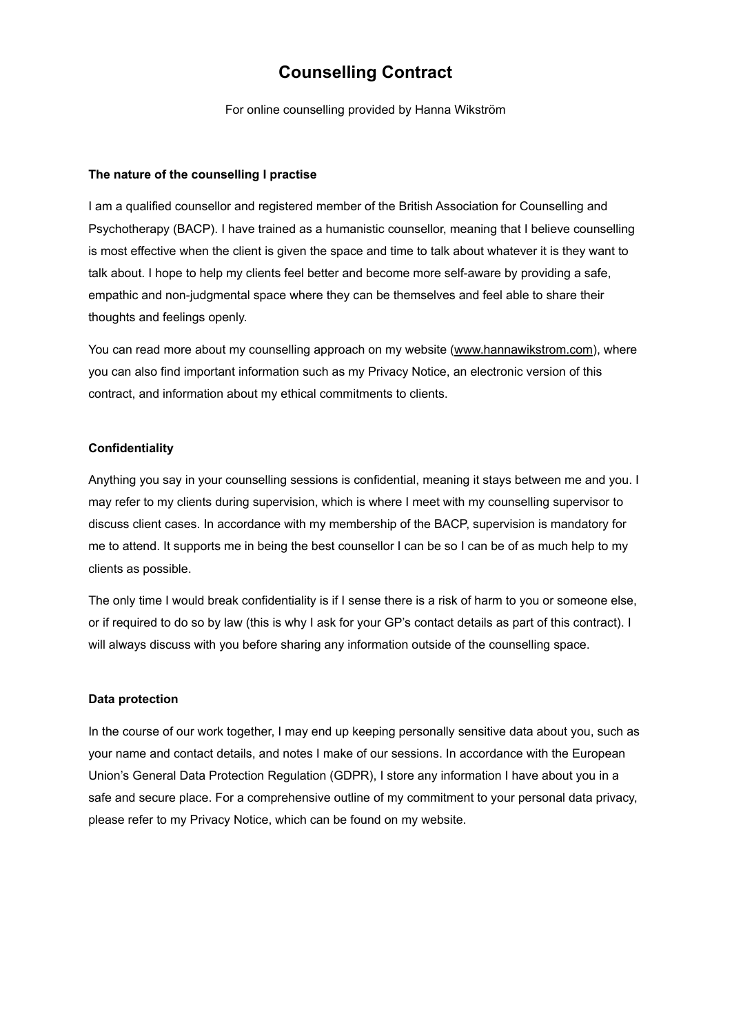# **Counselling Contract**

For online counselling provided by Hanna Wikström

#### **The nature of the counselling I practise**

I am a qualified counsellor and registered member of the British Association for Counselling and Psychotherapy (BACP). I have trained as a humanistic counsellor, meaning that I believe counselling is most effective when the client is given the space and time to talk about whatever it is they want to talk about. I hope to help my clients feel better and become more self-aware by providing a safe, empathic and non-judgmental space where they can be themselves and feel able to share their thoughts and feelings openly.

You can read more about my counselling approach on my website [\(www.hannawikstrom.com\)](http://www.hannawikstrom.com), where you can also find important information such as my Privacy Notice, an electronic version of this contract, and information about my ethical commitments to clients.

### **Confidentiality**

Anything you say in your counselling sessions is confidential, meaning it stays between me and you. I may refer to my clients during supervision, which is where I meet with my counselling supervisor to discuss client cases. In accordance with my membership of the BACP, supervision is mandatory for me to attend. It supports me in being the best counsellor I can be so I can be of as much help to my clients as possible.

The only time I would break confidentiality is if I sense there is a risk of harm to you or someone else, or if required to do so by law (this is why I ask for your GP's contact details as part of this contract). I will always discuss with you before sharing any information outside of the counselling space.

#### **Data protection**

In the course of our work together, I may end up keeping personally sensitive data about you, such as your name and contact details, and notes I make of our sessions. In accordance with the European Union's General Data Protection Regulation (GDPR), I store any information I have about you in a safe and secure place. For a comprehensive outline of my commitment to your personal data privacy, please refer to my Privacy Notice, which can be found on my website.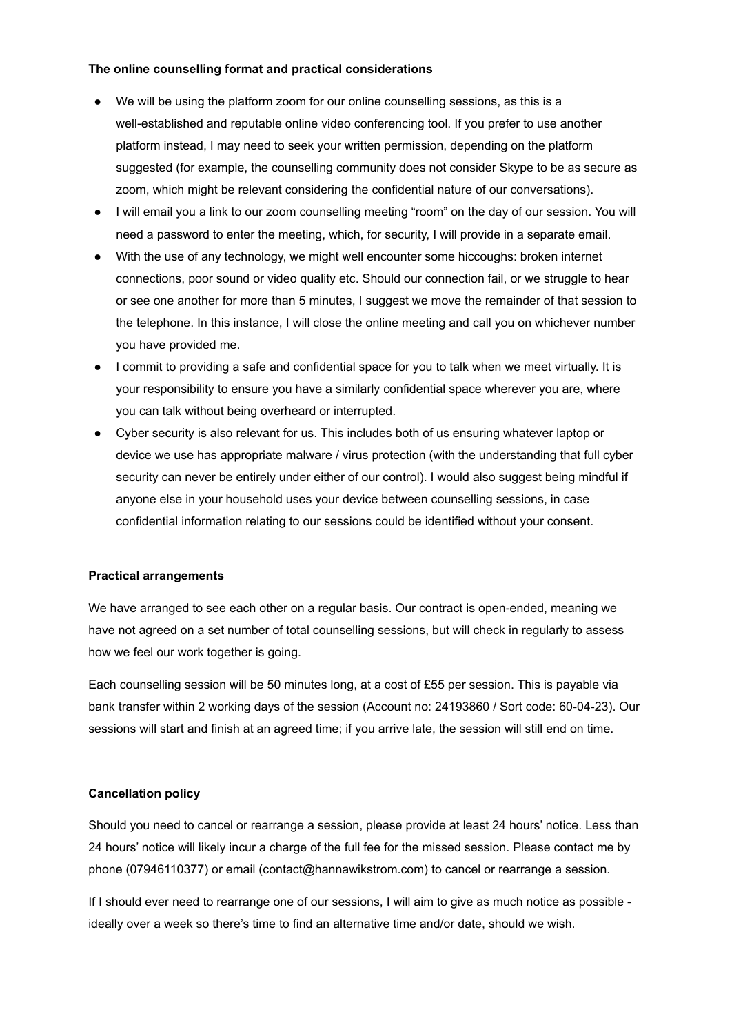## **The online counselling format and practical considerations**

- We will be using the platform zoom for our online counselling sessions, as this is a well-established and reputable online video conferencing tool. If you prefer to use another platform instead, I may need to seek your written permission, depending on the platform suggested (for example, the counselling community does not consider Skype to be as secure as zoom, which might be relevant considering the confidential nature of our conversations).
- I will email you a link to our zoom counselling meeting "room" on the day of our session. You will need a password to enter the meeting, which, for security, I will provide in a separate email.
- With the use of any technology, we might well encounter some hiccoughs: broken internet connections, poor sound or video quality etc. Should our connection fail, or we struggle to hear or see one another for more than 5 minutes, I suggest we move the remainder of that session to the telephone. In this instance, I will close the online meeting and call you on whichever number you have provided me.
- I commit to providing a safe and confidential space for you to talk when we meet virtually. It is your responsibility to ensure you have a similarly confidential space wherever you are, where you can talk without being overheard or interrupted.
- Cyber security is also relevant for us. This includes both of us ensuring whatever laptop or device we use has appropriate malware / virus protection (with the understanding that full cyber security can never be entirely under either of our control). I would also suggest being mindful if anyone else in your household uses your device between counselling sessions, in case confidential information relating to our sessions could be identified without your consent.

# **Practical arrangements**

We have arranged to see each other on a regular basis. Our contract is open-ended, meaning we have not agreed on a set number of total counselling sessions, but will check in regularly to assess how we feel our work together is going.

Each counselling session will be 50 minutes long, at a cost of £55 per session. This is payable via bank transfer within 2 working days of the session (Account no: 24193860 / Sort code: 60-04-23). Our sessions will start and finish at an agreed time; if you arrive late, the session will still end on time.

# **Cancellation policy**

Should you need to cancel or rearrange a session, please provide at least 24 hours' notice. Less than 24 hours' notice will likely incur a charge of the full fee for the missed session. Please contact me by phone (07946110377) or email (contact@hannawikstrom.com) to cancel or rearrange a session.

If I should ever need to rearrange one of our sessions, I will aim to give as much notice as possible ideally over a week so there's time to find an alternative time and/or date, should we wish.